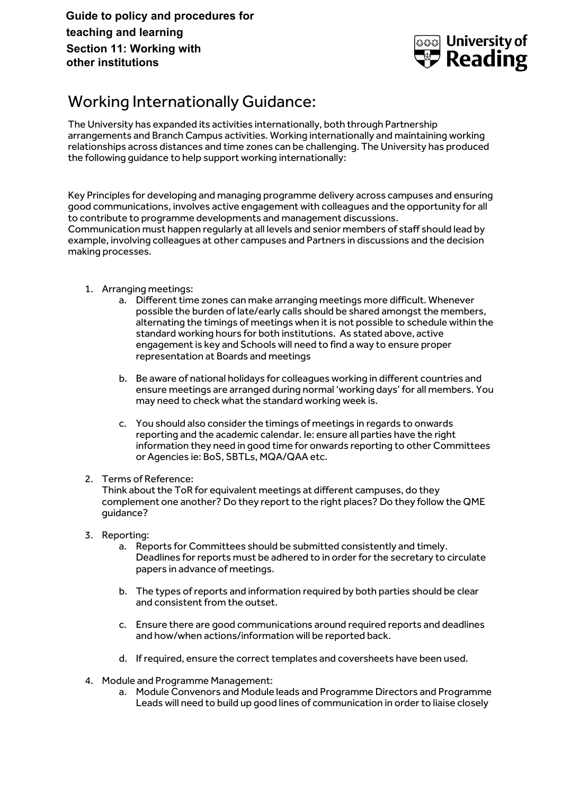**Guide to policy and procedures for teaching and learning Section 11: Working with other institutions**



## Working Internationally Guidance:

The University has expanded its activities internationally, both through Partnership arrangements and Branch Campus activities. Working internationally and maintaining working relationships across distances and time zones can be challenging. The University has produced the following guidance to help support working internationally:

Key Principles for developing and managing programme delivery across campuses and ensuring good communications, involves active engagement with colleagues and the opportunity for all to contribute to programme developments and management discussions. Communication must happen regularly at all levels and senior members of staff should lead by example, involving colleagues at other campuses and Partners in discussions and the decision making processes.

- 1. Arranging meetings:
	- a. Different time zones can make arranging meetings more difficult. Whenever possible the burden of late/early calls should be shared amongst the members, alternating the timings of meetings when it is not possible to schedule within the standard working hours for both institutions. As stated above, active engagement is key and Schools will need to find a way to ensure proper representation at Boards and meetings
	- b. Be aware of national holidays for colleagues working in different countries and ensure meetings are arranged during normal 'working days' for all members. You may need to check what the standard working week is.
	- c. You should also consider the timings of meetings in regards to onwards reporting and the academic calendar. Ie: ensure all parties have the right information they need in good time for onwards reporting to other Committees or Agencies ie: BoS, SBTLs, MQA/QAA etc.

#### 2. Terms of Reference:

Think about the ToR for equivalent meetings at different campuses, do they complement one another? Do they report to the right places? Do they follow the QME guidance?

- 3. Reporting:
	- a. Reports for Committees should be submitted consistently and timely. Deadlines for reports must be adhered to in order for the secretary to circulate papers in advance of meetings.
	- b. The types of reports and information required by both parties should be clear and consistent from the outset.
	- c. Ensure there are good communications around required reports and deadlines and how/when actions/information will be reported back.
	- d. If required, ensure the correct templates and coversheets have been used.
- 4. Module and Programme Management:
	- a. Module Convenors and Module leads and Programme Directors and Programme Leads will need to build up good lines of communication in order to liaise closely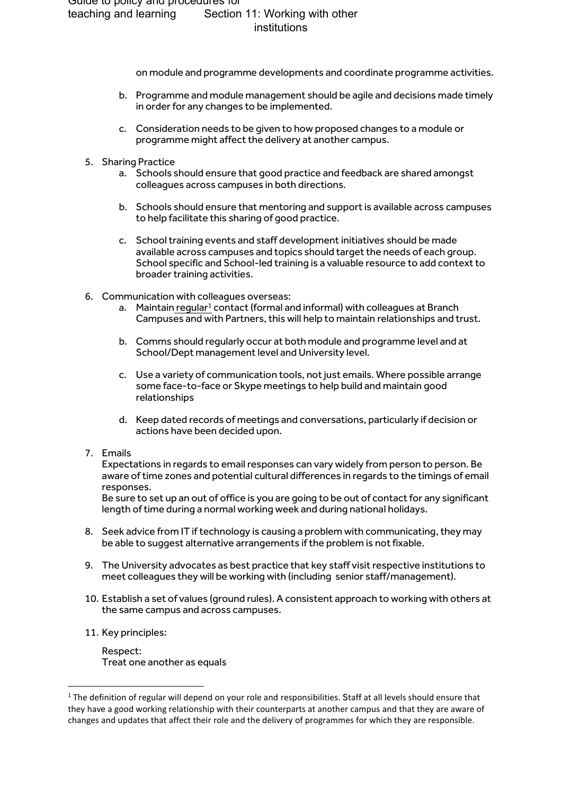on module and programme developments and coordinate programme activities.

- b. Programme and module management should be agile and decisions made timely in order for any changes to be implemented.
- c. Consideration needs to be given to how proposed changes to a module or programme might affect the delivery at another campus.
- 5. Sharing Practice
	- a. Schools should ensure that good practice and feedback are shared amongst colleagues across campuses in both directions.
	- b. Schools should ensure that mentoring and support is available across campuses to help facilitate this sharing of good practice.
	- c. School training events and staff development initiatives should be made available across campuses and topics should target the needs of each group. School specific and School-led training is a valuable resource to add context to broader training activities.
- 6. Communication with colleagues overseas:
	- a. Maintain regular<sup>1</sup> contact (formal and informal) with colleagues at Branch Campuses and with Partners, this will help to maintain relationships and trust.
	- b. Comms should regularly occur at both module and programme level and at School/Dept management level and University level.
	- c. Use a variety of communication tools, not just emails. Where possible arrange some face-to-face or Skype meetings to help build and maintain good relationships
	- d. Keep dated records of meetings and conversations, particularly if decision or actions have been decided upon.
- 7. Emails

Expectations in regards to email responses can vary widely from person to person. Be aware of time zones and potential cultural differences in regards to the timings of email responses.

Be sure to set up an out of office is you are going to be out of contact for any significant length of time during a normal working week and during national holidays.

- 8. Seek advice from IT if technology is causing a problem with communicating, they may be able to suggest alternative arrangements if the problem is not fixable.
- 9. The University advocates as best practice that key staff visit respective institutions to meet colleagues they will be working with (including senior staff/management).
- 10. Establish a set of values (ground rules). A consistent approach to working with others at the same campus and across campuses.
- 11. Key principles:

**.** 

Respect: Treat one another as equals

 $1$  The definition of regular will depend on your role and responsibilities. Staff at all levels should ensure that they have a good working relationship with their counterparts at another campus and that they are aware of changes and updates that affect their role and the delivery of programmes for which they are responsible.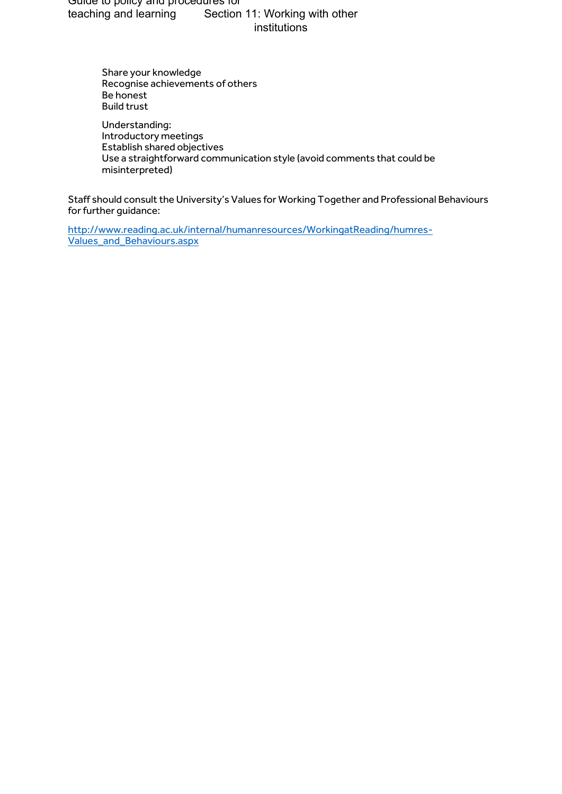Guide to policy and procedures for teaching and learning Section 11: Working with other institutions

> Share your knowledge Recognise achievements of others Be honest Build trust

Understanding: Introductory meetings Establish shared objectives Use a straightforward communication style (avoid comments that could be misinterpreted)

Staff should consult the University's Values for Working Together and Professional Behaviours for further guidance:

[http://www.reading.ac.uk/internal/humanresources/WorkingatReading/humres-](http://www.reading.ac.uk/internal/humanresources/WorkingatReading/humres-Values_and_Behaviours.aspx)[Values\\_and\\_Behaviours.aspx](http://www.reading.ac.uk/internal/humanresources/WorkingatReading/humres-Values_and_Behaviours.aspx)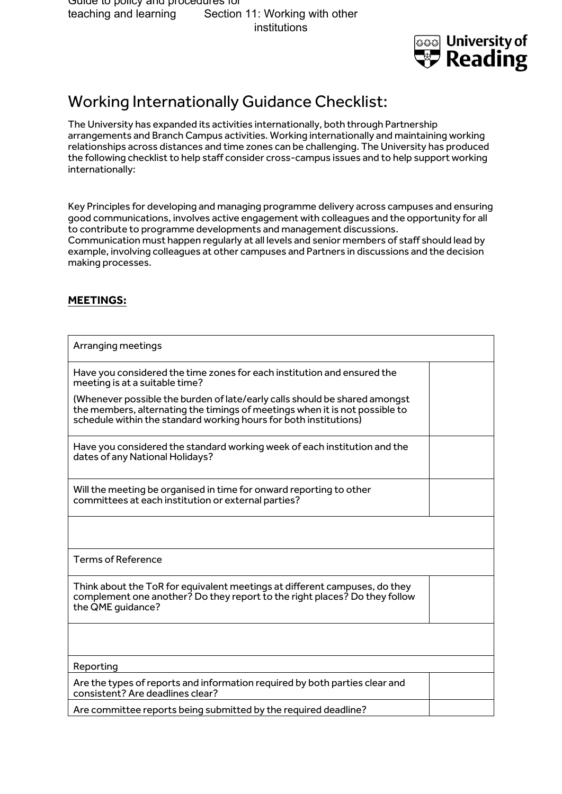

# Working Internationally Guidance Checklist:

The University has expanded its activities internationally, both through Partnership arrangements and Branch Campus activities. Working internationally and maintaining working relationships across distances and time zones can be challenging. The University has produced the following checklist to help staff consider cross-campus issues and to help support working internationally:

Key Principles for developing and managing programme delivery across campuses and ensuring good communications, involves active engagement with colleagues and the opportunity for all to contribute to programme developments and management discussions. Communication must happen regularly at all levels and senior members of staff should lead by example, involving colleagues at other campuses and Partners in discussions and the decision making processes.

### **MEETINGS:**

| Arranging meetings                                                                                                                                                                                                             |  |
|--------------------------------------------------------------------------------------------------------------------------------------------------------------------------------------------------------------------------------|--|
| Have you considered the time zones for each institution and ensured the<br>meeting is at a suitable time?                                                                                                                      |  |
| (Whenever possible the burden of late/early calls should be shared amongst<br>the members, alternating the timings of meetings when it is not possible to<br>schedule within the standard working hours for both institutions) |  |
| Have you considered the standard working week of each institution and the<br>dates of any National Holidays?                                                                                                                   |  |
| Will the meeting be organised in time for onward reporting to other<br>committees at each institution or external parties?                                                                                                     |  |
|                                                                                                                                                                                                                                |  |
| <b>Terms of Reference</b>                                                                                                                                                                                                      |  |
| Think about the ToR for equivalent meetings at different campuses, do they<br>complement one another? Do they report to the right places? Do they follow<br>the QME quidance?                                                  |  |
|                                                                                                                                                                                                                                |  |
| Reporting                                                                                                                                                                                                                      |  |
| Are the types of reports and information required by both parties clear and<br>consistent? Are deadlines clear?                                                                                                                |  |
| Are committee reports being submitted by the required deadline?                                                                                                                                                                |  |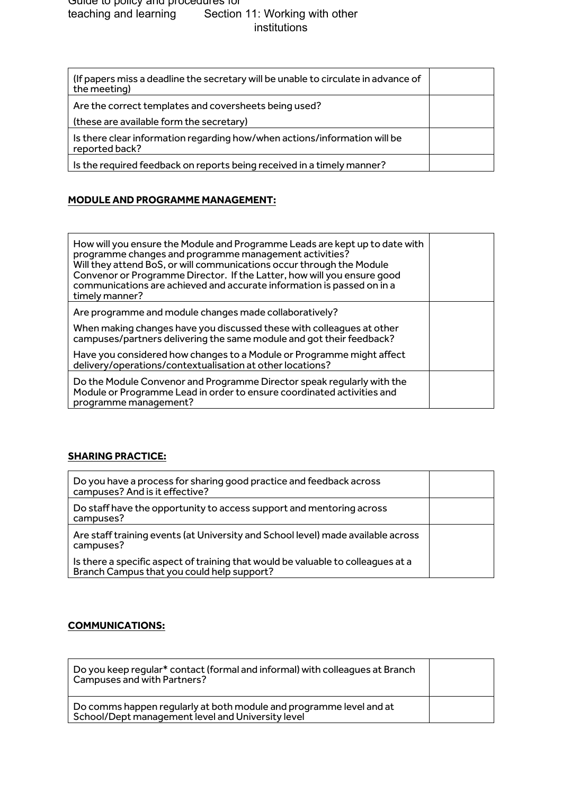| (If papers miss a deadline the secretary will be unable to circulate in advance of<br>the meeting) |  |
|----------------------------------------------------------------------------------------------------|--|
| Are the correct templates and coversheets being used?                                              |  |
| (these are available form the secretary)                                                           |  |
| Is there clear information regarding how/when actions/information will be<br>reported back?        |  |
| Is the required feedback on reports being received in a timely manner?                             |  |

## **MODULE AND PROGRAMME MANAGEMENT:**

| How will you ensure the Module and Programme Leads are kept up to date with<br>programme changes and programme management activities?<br>Will they attend BoS, or will communications occur through the Module<br>Convenor or Programme Director. If the Latter, how will you ensure good<br>communications are achieved and accurate information is passed on in a<br>timely manner? |  |
|---------------------------------------------------------------------------------------------------------------------------------------------------------------------------------------------------------------------------------------------------------------------------------------------------------------------------------------------------------------------------------------|--|
| Are programme and module changes made collaboratively?                                                                                                                                                                                                                                                                                                                                |  |
| When making changes have you discussed these with colleagues at other<br>campuses/partners delivering the same module and got their feedback?                                                                                                                                                                                                                                         |  |
| Have you considered how changes to a Module or Programme might affect<br>delivery/operations/contextualisation at other locations?                                                                                                                                                                                                                                                    |  |
| Do the Module Convenor and Programme Director speak regularly with the<br>Module or Programme Lead in order to ensure coordinated activities and<br>programme management?                                                                                                                                                                                                             |  |

#### **SHARING PRACTICE:**

| Do you have a process for sharing good practice and feedback across<br>campuses? And is it effective?                          |  |
|--------------------------------------------------------------------------------------------------------------------------------|--|
| Do staff have the opportunity to access support and mentoring across<br>campuses?                                              |  |
| Are staff training events (at University and School level) made available across<br>campuses?                                  |  |
| Is there a specific aspect of training that would be valuable to colleagues at a<br>Branch Campus that you could help support? |  |

## **COMMUNICATIONS:**

| Do you keep regular* contact (formal and informal) with colleagues at Branch<br>Campuses and with Partners?              |  |
|--------------------------------------------------------------------------------------------------------------------------|--|
| Do comms happen regularly at both module and programme level and at<br>School/Dept management level and University level |  |